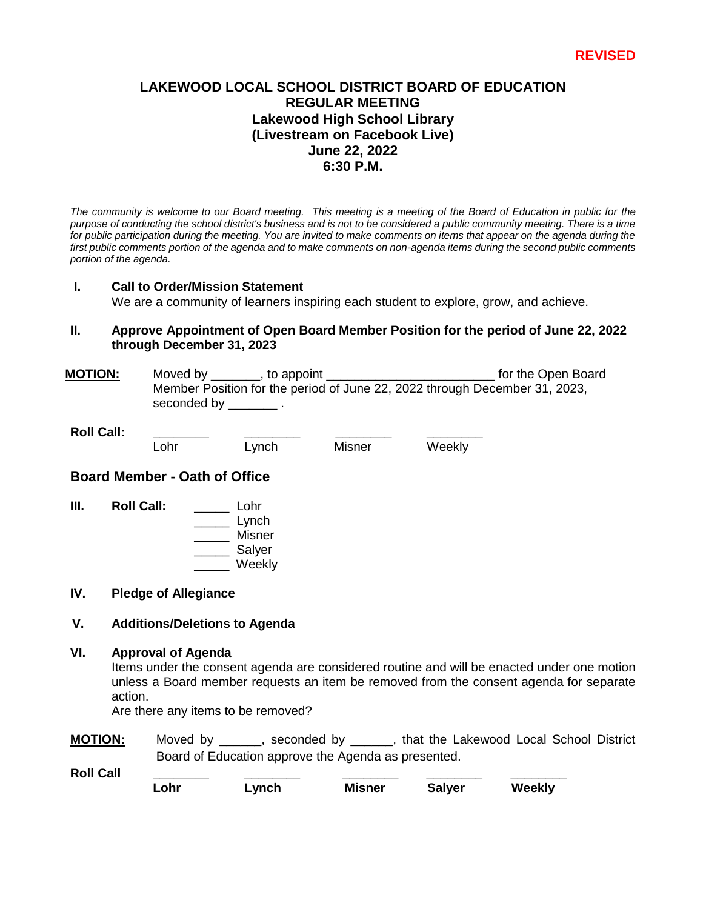## **LAKEWOOD LOCAL SCHOOL DISTRICT BOARD OF EDUCATION REGULAR MEETING Lakewood High School Library (Livestream on Facebook Live) June 22, 2022 6:30 P.M.**

*The community is welcome to our Board meeting. This meeting is a meeting of the Board of Education in public for the purpose of conducting the school district's business and is not to be considered a public community meeting. There is a time*  for public participation during the meeting. You are invited to make comments on items that appear on the agenda during the first public comments portion of the agenda and to make comments on non-agenda items during the second public comments *portion of the agenda.* 

### **I. Call to Order/Mission Statement**

We are a community of learners inspiring each student to explore, grow, and achieve.

### **II. Approve Appointment of Open Board Member Position for the period of June 22, 2022 through December 31, 2023**

**MOTION:** Moved by \_\_\_\_\_\_\_, to appoint \_\_\_\_\_\_\_\_\_\_\_\_\_\_\_\_\_\_\_\_\_\_\_\_ for the Open Board Member Position for the period of June 22, 2022 through December 31, 2023, seconded by \_\_\_\_\_\_\_\_\_.

**Roll Call: \_\_\_\_\_\_\_\_ \_\_\_\_\_\_\_\_ \_\_\_\_\_\_\_\_ \_\_\_\_\_\_\_\_**

Lohr Lynch Misner Weekly

### **Board Member - Oath of Office**

**III. Roll Call:** \_\_\_\_\_ Lohr \_\_\_\_\_ Lynch \_\_\_\_\_ Misner \_\_\_\_\_ Salyer \_\_\_\_\_ Weekly

#### **IV. Pledge of Allegiance**

### **V. Additions/Deletions to Agenda**

#### **VI. Approval of Agenda**

Items under the consent agenda are considered routine and will be enacted under one motion unless a Board member requests an item be removed from the consent agenda for separate action.

Are there any items to be removed?

**MOTION:** Moved by \_\_\_\_\_\_, seconded by \_\_\_\_\_\_, that the Lakewood Local School District Board of Education approve the Agenda as presented.

**Roll Call \_\_\_\_\_\_\_\_ \_\_\_\_\_\_\_\_ \_\_\_\_\_\_\_\_ \_\_\_\_\_\_\_\_ \_\_\_\_\_\_\_\_ Lohr Lynch Misner Salyer Weekly**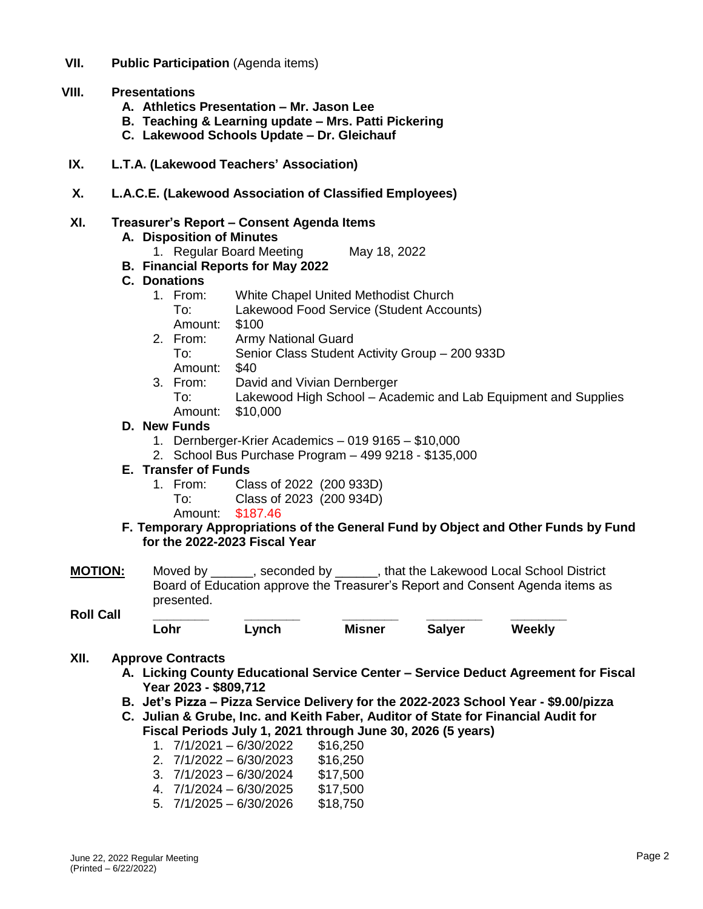**VII. Public Participation** (Agenda items)

## **VIII. Presentations**

- **A. Athletics Presentation – Mr. Jason Lee**
- **B. Teaching & Learning update – Mrs. Patti Pickering**
- **C. Lakewood Schools Update – Dr. Gleichauf**
- **IX. L.T.A. (Lakewood Teachers' Association)**
- **X. L.A.C.E. (Lakewood Association of Classified Employees)**

### **XI. Treasurer's Report – Consent Agenda Items**

- **A. Disposition of Minutes**
	- 1. Regular Board Meeting May 18, 2022
- **B. Financial Reports for May 2022**

### **C. Donations**

- 1. From: White Chapel United Methodist Church
	- To: Lakewood Food Service (Student Accounts)
	- Amount: \$100
- 2. From: Army National Guard
	- To: Senior Class Student Activity Group 200 933D Amount: \$40
- 3. From: David and Vivian Dernberger To: Lakewood High School – Academic and Lab Equipment and Supplies Amount: \$10,000

### **D. New Funds**

- 1. Dernberger-Krier Academics 019 9165 \$10,000
- 2. School Bus Purchase Program 499 9218 \$135,000

### **E. Transfer of Funds**

- 1. From: Class of 2022 (200 933D)
	- To: Class of 2023 (200 934D)
	- Amount: \$187.46
- **F. Temporary Appropriations of the General Fund by Object and Other Funds by Fund for the 2022-2023 Fiscal Year**
- **MOTION:** Moved by \_\_\_\_\_\_, seconded by \_\_\_\_\_\_, that the Lakewood Local School District Board of Education approve the Treasurer's Report and Consent Agenda items as presented.

#### **Roll Call \_\_\_\_\_\_\_\_ \_\_\_\_\_\_\_\_ \_\_\_\_\_\_\_\_ \_\_\_\_\_\_\_\_ \_\_\_\_\_\_\_\_ Lohr Lynch Misner Salyer Weekly**

### **XII. Approve Contracts**

- **A. Licking County Educational Service Center – Service Deduct Agreement for Fiscal Year 2023 - \$809,712**
- **B. Jet's Pizza – Pizza Service Delivery for the 2022-2023 School Year - \$9.00/pizza**
- **C. Julian & Grube, Inc. and Keith Faber, Auditor of State for Financial Audit for Fiscal Periods July 1, 2021 through June 30, 2026 (5 years)**
	- 1.  $7/1/2021 6/30/2022$  \$16.250
	- 2.  $7/1/2022 6/30/2023$  \$16,250
	- 3. 7/1/2023 6/30/2024 \$17,500
	- 4. 7/1/2024 6/30/2025 \$17,500
	- 5. 7/1/2025 6/30/2026 \$18,750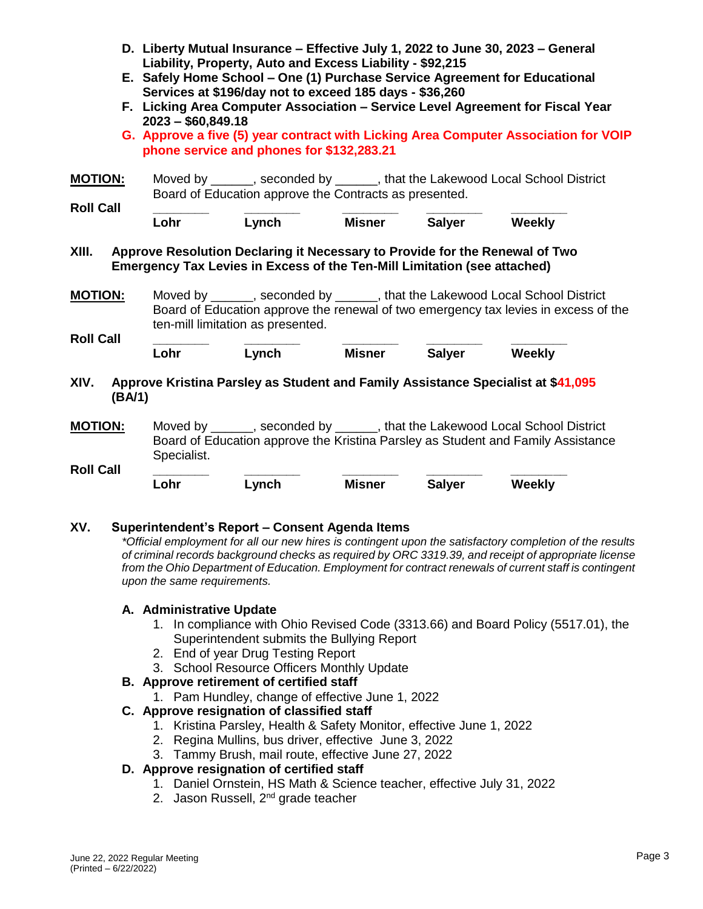- **D. Liberty Mutual Insurance – Effective July 1, 2022 to June 30, 2023 – General Liability, Property, Auto and Excess Liability - \$92,215**
- **E. Safely Home School – One (1) Purchase Service Agreement for Educational Services at \$196/day not to exceed 185 days - \$36,260**
- **F. Licking Area Computer Association – Service Level Agreement for Fiscal Year 2023 – \$60,849.18**
- **G. Approve a five (5) year contract with Licking Area Computer Association for VOIP phone service and phones for \$132,283.21**

**MOTION:** Moved by \_\_\_\_\_\_, seconded by \_\_\_\_\_\_, that the Lakewood Local School District Board of Education approve the Contracts as presented.

| <b>Roll Call</b> |      |       |               |               |        |
|------------------|------|-------|---------------|---------------|--------|
|                  | ∟ohr | ∟vnch | <b>Misner</b> | <b>Salyer</b> | Weekly |

**XIII. Approve Resolution Declaring it Necessary to Provide for the Renewal of Two Emergency Tax Levies in Excess of the Ten-Mill Limitation (see attached)**

**MOTION:** Moved by \_\_\_\_\_\_, seconded by \_\_\_\_\_\_, that the Lakewood Local School District Board of Education approve the renewal of two emergency tax levies in excess of the ten-mill limitation as presented. **Roll Call \_\_\_\_\_\_\_\_ \_\_\_\_\_\_\_\_ \_\_\_\_\_\_\_\_ \_\_\_\_\_\_\_\_ \_\_\_\_\_\_\_\_**

**Lohr Lynch Misner Salyer Weekly** 

- **XIV. Approve Kristina Parsley as Student and Family Assistance Specialist at \$41,095 (BA/1)**
- **MOTION:** Moved by , seconded by , that the Lakewood Local School District Board of Education approve the Kristina Parsley as Student and Family Assistance Specialist. **Roll Call \_\_\_\_\_\_\_\_ \_\_\_\_\_\_\_\_ \_\_\_\_\_\_\_\_ \_\_\_\_\_\_\_\_ \_\_\_\_\_\_\_\_**

**Lohr Lynch Misner Salyer Weekly** 

### **XV. Superintendent's Report – Consent Agenda Items**

*\*Official employment for all our new hires is contingent upon the satisfactory completion of the results of criminal records background checks as required by ORC 3319.39, and receipt of appropriate license from the Ohio Department of Education. Employment for contract renewals of current staff is contingent upon the same requirements.*

### **A. Administrative Update**

- 1. In compliance with Ohio Revised Code (3313.66) and Board Policy (5517.01), the Superintendent submits the Bullying Report
- 2. End of year Drug Testing Report
- 3. School Resource Officers Monthly Update
- **B. Approve retirement of certified staff**
	- 1. Pam Hundley, change of effective June 1, 2022

## **C. Approve resignation of classified staff**

- 1. Kristina Parsley, Health & Safety Monitor, effective June 1, 2022
- 2. Regina Mullins, bus driver, effective June 3, 2022
- 3. Tammy Brush, mail route, effective June 27, 2022

## **D. Approve resignation of certified staff**

- 1. Daniel Ornstein, HS Math & Science teacher, effective July 31, 2022
- 2. Jason Russell, 2<sup>nd</sup> grade teacher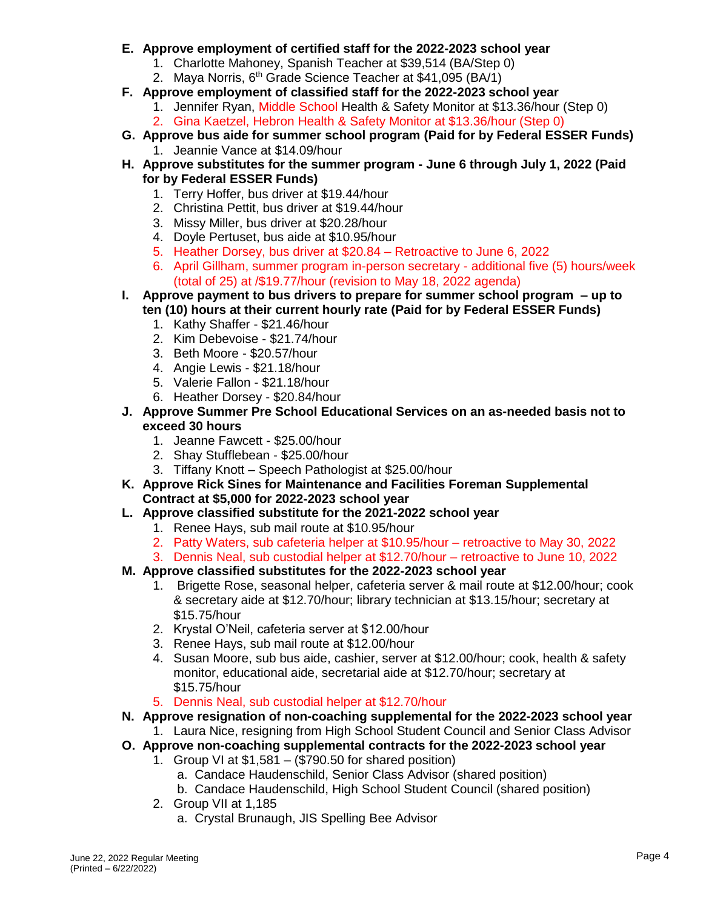## **E. Approve employment of certified staff for the 2022-2023 school year**

- 1. Charlotte Mahoney, Spanish Teacher at \$39,514 (BA/Step 0)
- 2. Maya Norris, 6<sup>th</sup> Grade Science Teacher at \$41,095 (BA/1)
- **F. Approve employment of classified staff for the 2022-2023 school year**
	- 1. Jennifer Ryan, Middle School Health & Safety Monitor at \$13.36/hour (Step 0)
	- 2. Gina Kaetzel, Hebron Health & Safety Monitor at \$13.36/hour (Step 0)
- **G. Approve bus aide for summer school program (Paid for by Federal ESSER Funds)** 1. Jeannie Vance at \$14.09/hour
- **H. Approve substitutes for the summer program - June 6 through July 1, 2022 (Paid for by Federal ESSER Funds)**
	- 1. Terry Hoffer, bus driver at \$19.44/hour
	- 2. Christina Pettit, bus driver at \$19.44/hour
	- 3. Missy Miller, bus driver at \$20.28/hour
	- 4. Doyle Pertuset, bus aide at \$10.95/hour
	- 5. Heather Dorsey, bus driver at \$20.84 Retroactive to June 6, 2022
	- 6. April Gillham, summer program in-person secretary additional five (5) hours/week (total of 25) at /\$19.77/hour (revision to May 18, 2022 agenda)
- **I. Approve payment to bus drivers to prepare for summer school program – up to ten (10) hours at their current hourly rate (Paid for by Federal ESSER Funds)**
	- 1. Kathy Shaffer \$21.46/hour
	- 2. Kim Debevoise \$21.74/hour
	- 3. Beth Moore \$20.57/hour
	- 4. Angie Lewis \$21.18/hour
	- 5. Valerie Fallon \$21.18/hour
	- 6. Heather Dorsey \$20.84/hour
- **J. Approve Summer Pre School Educational Services on an as-needed basis not to exceed 30 hours**
	- 1. Jeanne Fawcett \$25.00/hour
	- 2. Shay Stufflebean \$25.00/hour
	- 3. Tiffany Knott Speech Pathologist at \$25.00/hour
- **K. Approve Rick Sines for Maintenance and Facilities Foreman Supplemental Contract at \$5,000 for 2022-2023 school year**
- **L. Approve classified substitute for the 2021-2022 school year**
	- 1. Renee Hays, sub mail route at \$10.95/hour
	- 2. Patty Waters, sub cafeteria helper at \$10.95/hour retroactive to May 30, 2022
	- 3. Dennis Neal, sub custodial helper at \$12.70/hour retroactive to June 10, 2022

# **M. Approve classified substitutes for the 2022-2023 school year**

- 1. Brigette Rose, seasonal helper, cafeteria server & mail route at \$12.00/hour; cook & secretary aide at \$12.70/hour; library technician at \$13.15/hour; secretary at \$15.75/hour
- 2. Krystal O'Neil, cafeteria server at \$12.00/hour
- 3. Renee Hays, sub mail route at \$12.00/hour
- 4. Susan Moore, sub bus aide, cashier, server at \$12.00/hour; cook, health & safety monitor, educational aide, secretarial aide at \$12.70/hour; secretary at \$15.75/hour
- 5. Dennis Neal, sub custodial helper at \$12.70/hour
- **N. Approve resignation of non-coaching supplemental for the 2022-2023 school year**
- 1. Laura Nice, resigning from High School Student Council and Senior Class Advisor **O. Approve non-coaching supplemental contracts for the 2022-2023 school year**
	- 1. Group VI at \$1,581 (\$790.50 for shared position)
		- a. Candace Haudenschild, Senior Class Advisor (shared position)
		- b. Candace Haudenschild, High School Student Council (shared position)
		- 2. Group VII at 1,185
			- a. Crystal Brunaugh, JIS Spelling Bee Advisor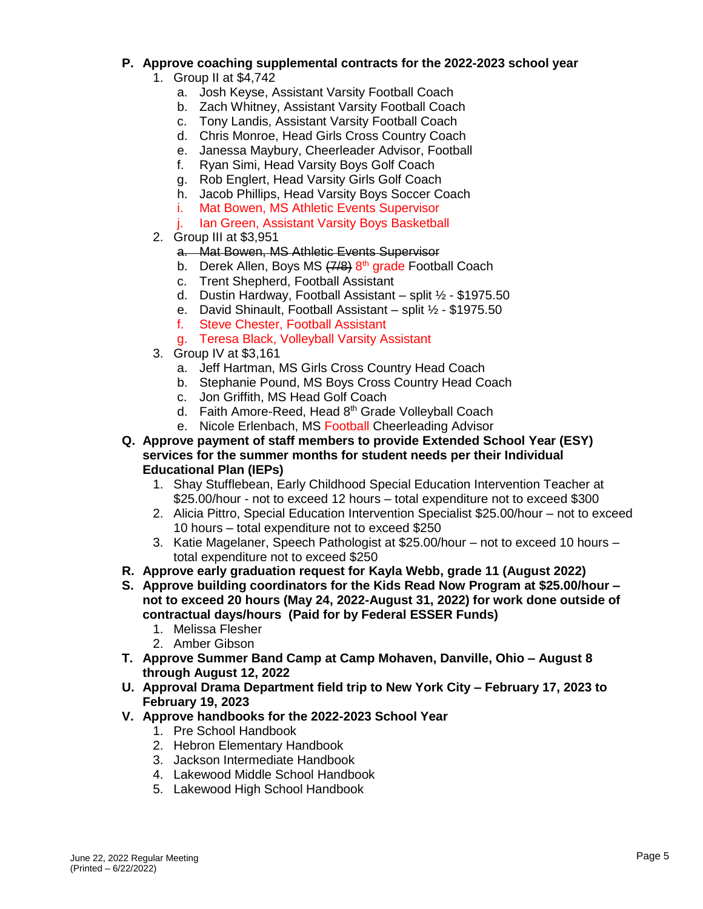# **P. Approve coaching supplemental contracts for the 2022-2023 school year**

- 1. Group II at \$4,742
	- a. Josh Keyse, Assistant Varsity Football Coach
	- b. Zach Whitney, Assistant Varsity Football Coach
	- c. Tony Landis, Assistant Varsity Football Coach
	- d. Chris Monroe, Head Girls Cross Country Coach
	- e. Janessa Maybury, Cheerleader Advisor, Football
	- f. Ryan Simi, Head Varsity Boys Golf Coach
	- g. Rob Englert, Head Varsity Girls Golf Coach
	- h. Jacob Phillips, Head Varsity Boys Soccer Coach
	- i. Mat Bowen, MS Athletic Events Supervisor
	- Ian Green, Assistant Varsity Boys Basketball
- 2. Group III at \$3,951
	- a. Mat Bowen, MS Athletic Events Supervisor
	- b. Derek Allen, Boys MS (7/8) 8<sup>th</sup> grade Football Coach
	- c. Trent Shepherd, Football Assistant
	- d. Dustin Hardway, Football Assistant split ½ \$1975.50
	- e. David Shinault, Football Assistant split ½ \$1975.50
	- f. Steve Chester, Football Assistant
	- g. Teresa Black, Volleyball Varsity Assistant
- 3. Group IV at \$3,161
	- a. Jeff Hartman, MS Girls Cross Country Head Coach
	- b. Stephanie Pound, MS Boys Cross Country Head Coach
	- c. Jon Griffith, MS Head Golf Coach
	- d. Faith Amore-Reed, Head 8th Grade Volleyball Coach
	- e. Nicole Erlenbach, MS Football Cheerleading Advisor
- **Q. Approve payment of staff members to provide Extended School Year (ESY) services for the summer months for student needs per their Individual Educational Plan (IEPs)**
	- 1. Shay Stufflebean, Early Childhood Special Education Intervention Teacher at \$25.00/hour - not to exceed 12 hours – total expenditure not to exceed \$300
	- 2. Alicia Pittro, Special Education Intervention Specialist \$25.00/hour not to exceed 10 hours – total expenditure not to exceed \$250
	- 3. Katie Magelaner, Speech Pathologist at \$25.00/hour not to exceed 10 hours total expenditure not to exceed \$250
- **R. Approve early graduation request for Kayla Webb, grade 11 (August 2022)**
- **S. Approve building coordinators for the Kids Read Now Program at \$25.00/hour – not to exceed 20 hours (May 24, 2022-August 31, 2022) for work done outside of contractual days/hours (Paid for by Federal ESSER Funds)**
	- 1. Melissa Flesher
	- 2. Amber Gibson
- **T. Approve Summer Band Camp at Camp Mohaven, Danville, Ohio – August 8 through August 12, 2022**
- **U. Approval Drama Department field trip to New York City – February 17, 2023 to February 19, 2023**
- **V. Approve handbooks for the 2022-2023 School Year**
	- 1. Pre School Handbook
	- 2. Hebron Elementary Handbook
	- 3. Jackson Intermediate Handbook
	- 4. Lakewood Middle School Handbook
	- 5. Lakewood High School Handbook